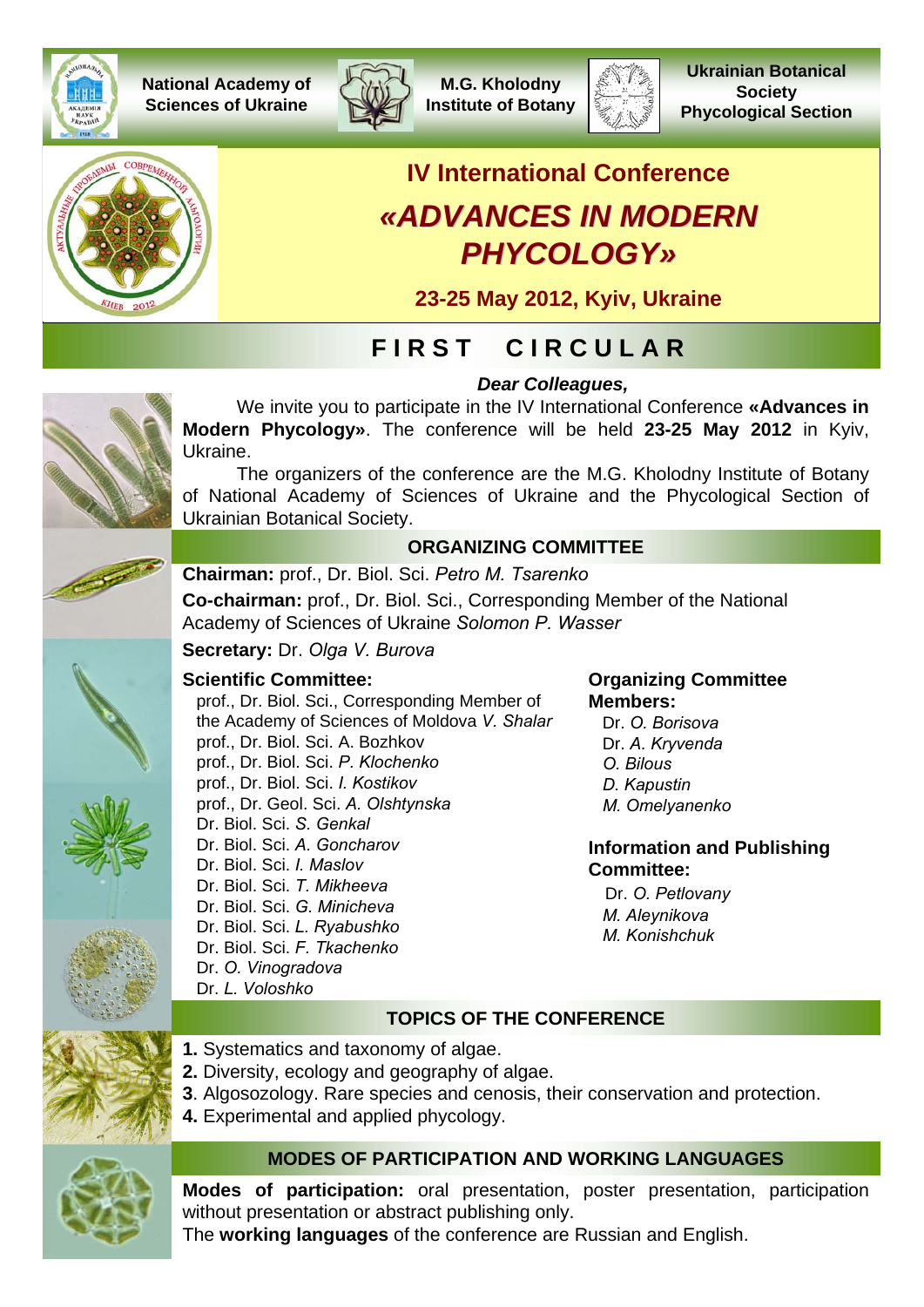

**National Academy of Sciences of Ukraine**



**M.G. Kholodny Institute of Botany**



**Ukrainian Botanical Society Phycological Section**



# **IV International Conference** *«ADVANCES IN ADVANCES IN MODERN PHYCOLOGY PHYCOLOGY»*

**23-25 May 2012, Kyiv, Ukraine**

*Dear Colleagues,*

# **F I R S T C I R C U L A R**

We invite you to participate in the IV International Conference **«Advances in Modern Phycology»**. The conference will be held **23-25 May 2012** in Kyiv, Ukraine.

The organizers of the conference are the M.G. Kholodny Institute of Botany of National Academy of Sciences of Ukraine and the Phycological Section of Ukrainian Botanical Society.

#### **ORGANIZING COMMITTEE**



**Chairman:** prof., Dr. Biol. Sci. *Petro M. Tsarenko*

**Co-chairman:** prof., Dr. Biol. Sci., Corresponding Member of the National Academy of Sciences of Ukraine *Solomon P. Wasser*

**Secretary:** Dr. *Olga V. Burova*

### **Scientific Committee:**

prof., Dr. Biol. Sci., Corresponding Member of the Academy of Sciences of Moldova *V. Shalar* prof., Dr. Biol. Sci. A. Bozhkov prof., Dr. Biol. Sci. *P. Klochenko* prof., Dr. Biol. Sci. *I. Kostikov* prof., Dr. Geol. Sci. *A. Olshtynska* Dr. Biol. Sci. *S. Genkal* Dr. Biol. Sci. *A. Goncharov* Dr. Biol. Sci. *I. Maslov* Dr. Biol. Sci. *T. Mikheeva* Dr. Biol. Sci. *G. Minicheva* Dr. Biol. Sci. *L. Ryabushko* Dr. Biol. Sci. *F. Tkachenko* Dr. *O. Vinogradova* Dr. *L. Voloshko*

#### **Organizing Committee Members:**

Dr. *O. Borisova* Dr. *А. Kryvenda O. Bilous D. Kapustin M. Omelyanenko*

#### **Information and Publishing Committee:**

Dr. *О. Petlovany M. Aleynikova M. Konishchuk*

# **TOPICS OF THE CONFERENCE**

- **1.** Systematics and taxonomy of algae.
- **2.** Diversity, ecology and geography of algae.
- **3**. Algosozology. Rare species and cenosis, their conservation and protection.
- **4.** Experimental and applied phycology.

## **MODES OF PARTICIPATION AND WORKING LANGUAGES**

**Modes of participation:** oral presentation, poster presentation, participation without presentation or abstract publishing only.

The **working languages** of the conference are Russian and English.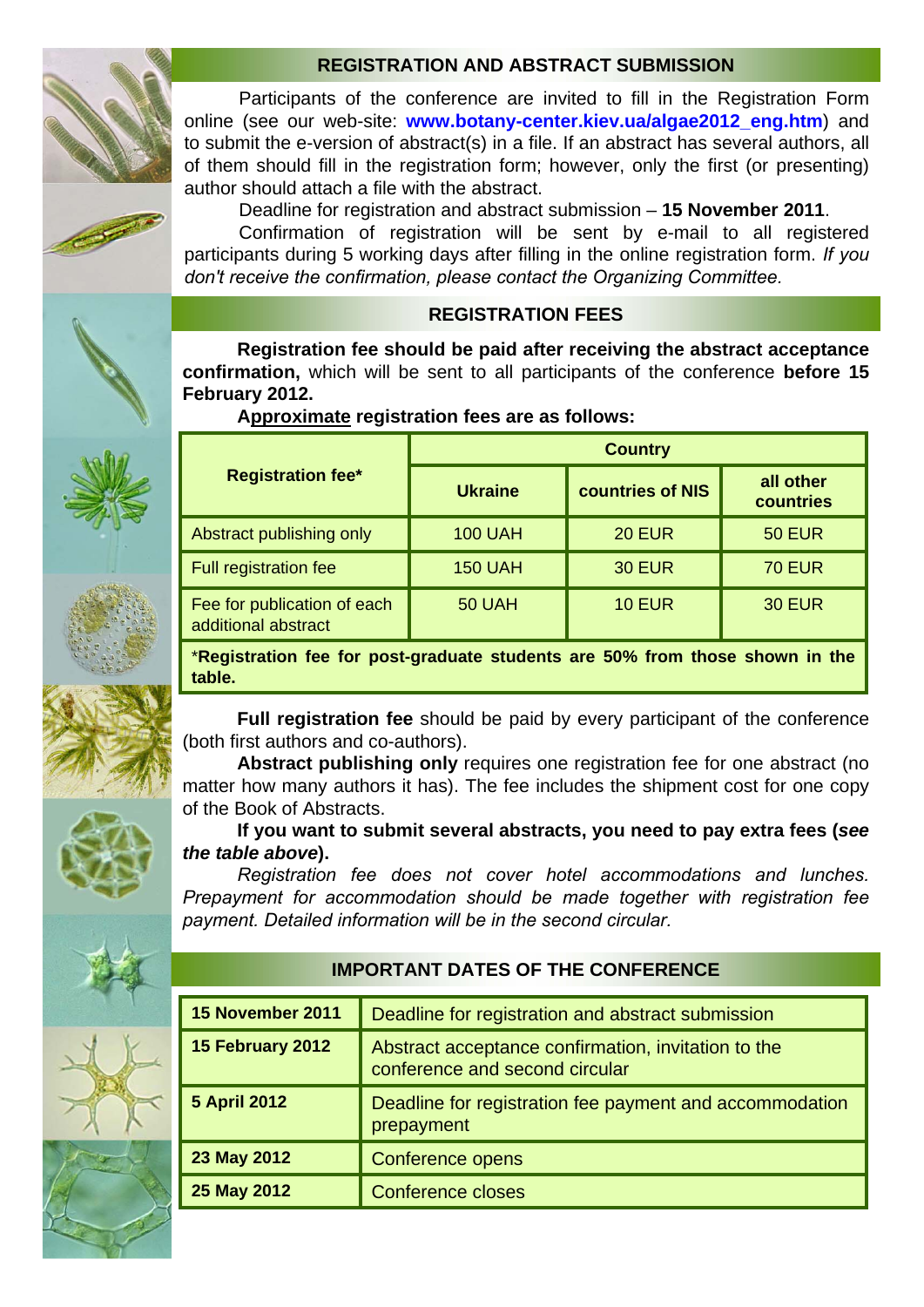#### **REGISTRATION AND ABSTRACT SUBMISSION**

Participants of the conference are invited to fill in the Registration Form online (see our web-site: **www.botany-center.kiev.ua/algae2012\_eng.htm**) and to submit the e-version of abstract(s) in a file. If an abstract has several authors, all of them should fill in the registration form; however, only the first (or presenting) author should attach a file with the abstract.

Deadline for registration and abstract submission – **15 November 2011**.

Confirmation of registration will be sent by e-mail to all registered participants during 5 working days after filling in the online registration form. *If you don't receive the confirmation, please contact the Organizing Committee.*

#### **REGISTRATION FEES**

**Registration fee should be paid after receiving the abstract acceptance confirmation,** which will be sent to all participants of the conference **before 15 February 2012.**

#### **Approximate registration fees are as follows:**

|                                                    | <b>Country</b> |                         |                        |
|----------------------------------------------------|----------------|-------------------------|------------------------|
| <b>Registration fee*</b>                           | <b>Ukraine</b> | <b>countries of NIS</b> | all other<br>countries |
| Abstract publishing only                           | <b>100 UAH</b> | <b>20 EUR</b>           | <b>50 EUR</b>          |
| Full registration fee                              | <b>150 UAH</b> | <b>30 EUR</b>           | <b>70 EUR</b>          |
| Fee for publication of each<br>additional abstract | <b>50 UAH</b>  | <b>10 EUR</b>           | <b>30 EUR</b>          |

\***Registration fee for post-graduate students are 50% from those shown in the table.**

**Full registration fee** should be paid by every participant of the conference (both first authors and co-authors).

**Abstract publishing only** requires one registration fee for one abstract (no matter how many authors it has). The fee includes the shipment cost for one copy of the Book of Abstracts.

**If you want to submit several abstracts, you need to pay extra fees (***see the table above***).**

*Registration fee does not cover hotel accommodations and lunches. Prepayment for accommodation should be made together with registration fee payment. Detailed information will be in the second circular.*

#### **IMPORTANT DATES OF THE CONFERENCE**

| 15 November 2011    | Deadline for registration and abstract submission                                     |  |
|---------------------|---------------------------------------------------------------------------------------|--|
| 15 February 2012    | Abstract acceptance confirmation, invitation to the<br>conference and second circular |  |
| <b>5 April 2012</b> | Deadline for registration fee payment and accommodation<br>prepayment                 |  |
| 23 May 2012         | Conference opens                                                                      |  |
| 25 May 2012         | <b>Conference closes</b>                                                              |  |